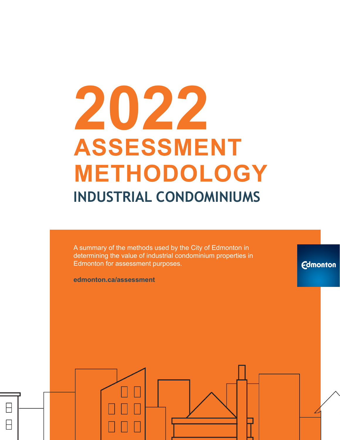# **2022 ASSESSMENT METHODOLOGY INDUSTRIAL CONDOMINIUMS**

A summary of the methods used by the City of Edmonton in determining the value of industrial condominium properties in Edmonton for assessment purposes.

**Edmonton** 

**edmonton.ca/assessment**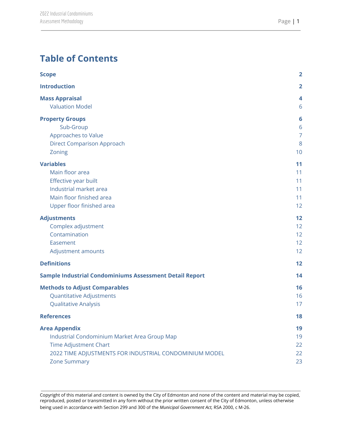# **Table of Contents**

| <b>Scope</b>                                                   | $\overline{\mathbf{2}}$ |
|----------------------------------------------------------------|-------------------------|
| <b>Introduction</b>                                            | $\overline{\mathbf{2}}$ |
| <b>Mass Appraisal</b>                                          | 4                       |
| <b>Valuation Model</b>                                         | 6                       |
| <b>Property Groups</b>                                         | $6\phantom{1}6$         |
| Sub-Group                                                      | 6                       |
| Approaches to Value                                            | $\overline{7}$          |
| <b>Direct Comparison Approach</b>                              | 8                       |
| Zoning                                                         | 10                      |
| <b>Variables</b>                                               | 11                      |
| Main floor area                                                | 11                      |
| Effective year built                                           | 11                      |
| Industrial market area                                         | 11                      |
| Main floor finished area                                       | 11                      |
| Upper floor finished area                                      | 12                      |
| <b>Adjustments</b>                                             | 12                      |
| Complex adjustment                                             | 12                      |
| Contamination                                                  | 12                      |
| Easement                                                       | 12                      |
| Adjustment amounts                                             | 12                      |
| <b>Definitions</b>                                             | 12                      |
| <b>Sample Industrial Condominiums Assessment Detail Report</b> | 14                      |
| <b>Methods to Adjust Comparables</b>                           | 16                      |
| <b>Quantitative Adjustments</b>                                | 16                      |
| <b>Qualitative Analysis</b>                                    | 17                      |
| <b>References</b>                                              | 18                      |
| <b>Area Appendix</b>                                           | 19                      |
| Industrial Condominium Market Area Group Map                   | 19                      |
| <b>Time Adjustment Chart</b>                                   | 22                      |
| 2022 TIME ADJUSTMENTS FOR INDUSTRIAL CONDOMINIUM MODEL         | 22                      |
| <b>Zone Summary</b>                                            | 23                      |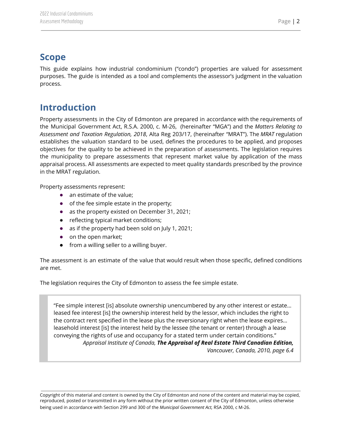# <span id="page-2-0"></span>**Scope**

This guide explains how industrial condominium ("condo") properties are valued for assessment purposes. The guide is intended as a tool and complements the assessor's judgment in the valuation process.

# <span id="page-2-1"></span>**Introduction**

Property assessments in the City of Edmonton are prepared in accordance with the requirements of the Municipal Government Act, R.S.A. 2000, c. M-26, (hereinafter "MGA") and the *Matters Relating to Assessment and Taxation Regulation, 2018*, Alta Reg 203/17, (hereinafter "MRAT"). The *MRAT* regulation establishes the valuation standard to be used, defines the procedures to be applied, and proposes objectives for the quality to be achieved in the preparation of assessments. The legislation requires the municipality to prepare assessments that represent market value by application of the mass appraisal process. All assessments are expected to meet quality standards prescribed by the province in the MRAT regulation.

Property assessments represent:

- an estimate of the value;
- of the fee simple estate in the property;
- as the property existed on December 31, 2021;
- reflecting typical market conditions;
- as if the property had been sold on July 1, 2021;
- on the open market;
- from a willing seller to a willing buyer.

The assessment is an estimate of the value that would result when those specific, defined conditions are met.

The legislation requires the City of Edmonton to assess the fee simple estate.

"Fee simple interest [is] absolute ownership unencumbered by any other interest or estate… leased fee interest [is] the ownership interest held by the lessor, which includes the right to the contract rent specified in the lease plus the reversionary right when the lease expires… leasehold interest [is] the interest held by the lessee (the tenant or renter) through a lease conveying the rights of use and occupancy for a stated term under certain conditions." *Appraisal Institute of Canada, The Appraisal of Real Estate Third Canadian Edition,*

*Vancouver, Canada, 2010, page 6.4*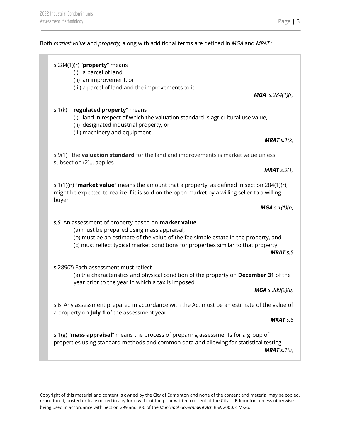#### Both *market value* and *property,* along with additional terms are defined in *MGA* and *MRAT* :

|       | s.284(1)(r) " $proper$ y means<br>(i) a parcel of land<br>(ii) an improvement, or<br>(iii) a parcel of land and the improvements to it                                                                                                                                               |                                            |
|-------|--------------------------------------------------------------------------------------------------------------------------------------------------------------------------------------------------------------------------------------------------------------------------------------|--------------------------------------------|
|       | s.1(k) "regulated property" means<br>(i) land in respect of which the valuation standard is agricultural use value,                                                                                                                                                                  | <b>MGA</b> .s.284 $(1)(r)$                 |
|       | (ii) designated industrial property, or<br>(iii) machinery and equipment                                                                                                                                                                                                             | <b>MRAT</b> $s.1(k)$                       |
|       | s.9(1) the <b>valuation standard</b> for the land and improvements is market value unless<br>subsection (2) applies                                                                                                                                                                  | <b>MRAT</b> $s.9(1)$                       |
| buyer | s.1(1)(n) "market value" means the amount that a property, as defined in section 284(1)(r),<br>might be expected to realize if it is sold on the open market by a willing seller to a willing                                                                                        |                                            |
|       | s.5 An assessment of property based on <b>market value</b><br>(a) must be prepared using mass appraisal,<br>(b) must be an estimate of the value of the fee simple estate in the property, and<br>(c) must reflect typical market conditions for properties similar to that property | <b>MGA</b> s. $1(1)(n)$<br><b>MRAT</b> s.5 |
|       | s.289(2) Each assessment must reflect<br>(a) the characteristics and physical condition of the property on December 31 of the<br>year prior to the year in which a tax is imposed                                                                                                    | <b>MGA</b> s.289(2)(a)                     |
|       | s.6 Any assessment prepared in accordance with the Act must be an estimate of the value of<br>a property on July 1 of the assessment year                                                                                                                                            | <b>MRAT</b> s.6                            |
|       | s.1(g) "mass appraisal" means the process of preparing assessments for a group of<br>properties using standard methods and common data and allowing for statistical testing                                                                                                          | <b>MRAT</b> $s.1(g)$                       |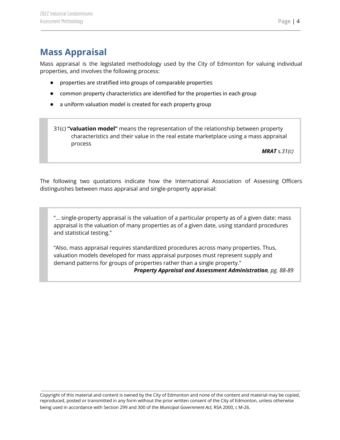# <span id="page-4-0"></span>**Mass Appraisal**

Mass appraisal is the legislated methodology used by the City of Edmonton for valuing individual properties, and involves the following process:

- properties are stratified into groups of comparable properties
- common property characteristics are identified for the properties in each group
- a uniform valuation model is created for each property group
- 31(c) **"valuation model"** means the representation of the relationship between property characteristics and their value in the real estate marketplace using a mass appraisal process

*MRAT s.31(c)*

The following two quotations indicate how the International Association of Assessing Officers distinguishes between mass appraisal and single-property appraisal:

"... single-property appraisal is the valuation of a particular property as of a given date: mass appraisal is the valuation of many properties as of a given date, using standard procedures and statistical testing."

"Also, mass appraisal requires standardized procedures across many properties. Thus, valuation models developed for mass appraisal purposes must represent supply and demand patterns for groups of properties rather than a single property."

*Property Appraisal and Assessment Administration, pg. 88-89*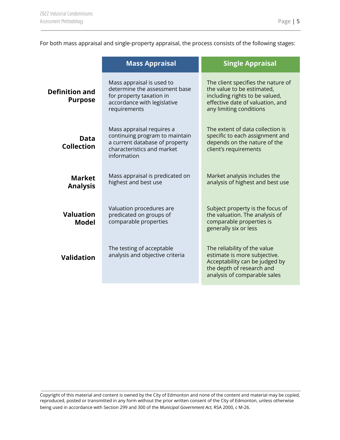For both mass appraisal and single-property appraisal, the process consists of the following stages:

|                                         | <b>Mass Appraisal</b>                                                                                                                      | <b>Single Appraisal</b>                                                                                                                                           |
|-----------------------------------------|--------------------------------------------------------------------------------------------------------------------------------------------|-------------------------------------------------------------------------------------------------------------------------------------------------------------------|
| <b>Definition and</b><br><b>Purpose</b> | Mass appraisal is used to<br>determine the assessment base<br>for property taxation in<br>accordance with legislative<br>requirements      | The client specifies the nature of<br>the value to be estimated,<br>including rights to be valued,<br>effective date of valuation, and<br>any limiting conditions |
| Data<br><b>Collection</b>               | Mass appraisal requires a<br>continuing program to maintain<br>a current database of property<br>characteristics and market<br>information | The extent of data collection is<br>specific to each assignment and<br>depends on the nature of the<br>client's requirements                                      |
| <b>Market</b><br><b>Analysis</b>        | Mass appraisal is predicated on<br>highest and best use                                                                                    | Market analysis includes the<br>analysis of highest and best use                                                                                                  |
| <b>Valuation</b><br><b>Model</b>        | Valuation procedures are<br>predicated on groups of<br>comparable properties                                                               | Subject property is the focus of<br>the valuation. The analysis of<br>comparable properties is<br>generally six or less                                           |
| Validation                              | The testing of acceptable<br>analysis and objective criteria                                                                               | The reliability of the value<br>estimate is more subjective.<br>Acceptability can be judged by<br>the depth of research and<br>analysis of comparable sales       |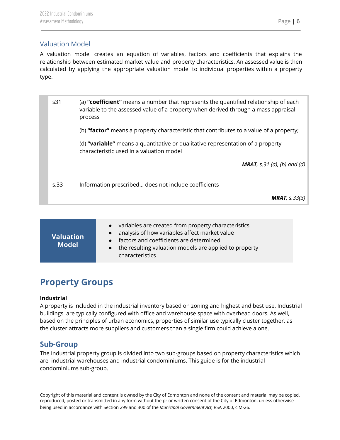#### <span id="page-6-0"></span>Valuation Model

A valuation model creates an equation of variables, factors and coefficients that explains the relationship between estimated market value and property characteristics. An assessed value is then calculated by applying the appropriate valuation model to individual properties within a property type.

| s31  | (a) "coefficient" means a number that represents the quantified relationship of each<br>variable to the assessed value of a property when derived through a mass appraisal<br>process |
|------|---------------------------------------------------------------------------------------------------------------------------------------------------------------------------------------|
|      | (b) "factor" means a property characteristic that contributes to a value of a property;                                                                                               |
|      | (d) "variable" means a quantitative or qualitative representation of a property<br>characteristic used in a valuation model                                                           |
|      | <b>MRAT</b> , s.31 (a), (b) and (d)                                                                                                                                                   |
| s.33 | Information prescribed does not include coefficients                                                                                                                                  |
|      | <b>MRAT</b> , $s.33(3)$                                                                                                                                                               |

| $\sf{Valuation}$<br><b>Model</b> | • variables are created from property characteristics<br>• analysis of how variables affect market value<br>• factors and coefficients are determined<br>the resulting valuation models are applied to property<br>$\bullet$<br>characteristics |
|----------------------------------|-------------------------------------------------------------------------------------------------------------------------------------------------------------------------------------------------------------------------------------------------|
|----------------------------------|-------------------------------------------------------------------------------------------------------------------------------------------------------------------------------------------------------------------------------------------------|

## <span id="page-6-1"></span>**Property Groups**

#### **Industrial**

A property is included in the industrial inventory based on zoning and highest and best use. Industrial buildings are typically configured with office and warehouse space with overhead doors. As well, based on the principles of urban economics, properties of similar use typically cluster together, as the cluster attracts more suppliers and customers than a single firm could achieve alone.

#### <span id="page-6-2"></span>**Sub-Group**

The Industrial property group is divided into two sub-groups based on property characteristics which are industrial warehouses and industrial condominiums. This guide is for the industrial condominiums sub-group.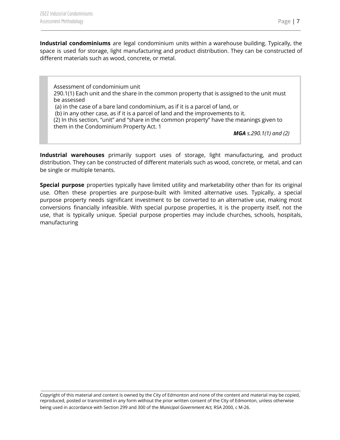**Industrial condominiums** are legal condominium units within a warehouse building. Typically, the space is used for storage, light manufacturing and product distribution. They can be constructed of different materials such as wood, concrete, or metal.

Assessment of condominium unit 290.1(1) Each unit and the share in the common property that is assigned to the unit must be assessed (a) in the case of a bare land condominium, as if it is a parcel of land, or (b) in any other case, as if it is a parcel of land and the improvements to it. (2) In this section, "unit" and "share in the common property" have the meanings given to them in the Condominium Property Act. 1

*MGA s.290.1(1) and (2)*

**Industrial warehouses** primarily support uses of storage, light manufacturing, and product distribution. They can be constructed of different materials such as wood, concrete, or metal, and can be single or multiple tenants.

<span id="page-7-0"></span>**Special purpose** properties typically have limited utility and marketability other than for its original use. Often these properties are purpose-built with limited alternative uses. Typically, a special purpose property needs significant investment to be converted to an alternative use, making most conversions financially infeasible. With special purpose properties, it is the property itself, not the use, that is typically unique. Special purpose properties may include churches, schools, hospitals, manufacturing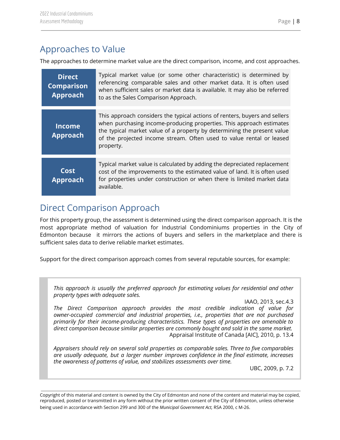## Approaches to Value

The approaches to determine market value are the direct comparison, income, and cost approaches.

| <b>Direct</b><br><b>Comparison</b><br><b>Approach</b> | Typical market value (or some other characteristic) is determined by<br>referencing comparable sales and other market data. It is often used<br>when sufficient sales or market data is available. It may also be referred<br>to as the Sales Comparison Approach.                                                 |
|-------------------------------------------------------|--------------------------------------------------------------------------------------------------------------------------------------------------------------------------------------------------------------------------------------------------------------------------------------------------------------------|
| <b>Income</b><br><b>Approach</b>                      | This approach considers the typical actions of renters, buyers and sellers<br>when purchasing income-producing properties. This approach estimates<br>the typical market value of a property by determining the present value<br>of the projected income stream. Often used to value rental or leased<br>property. |
| Cost<br><b>Approach</b>                               | Typical market value is calculated by adding the depreciated replacement<br>cost of the improvements to the estimated value of land. It is often used<br>for properties under construction or when there is limited market data<br>available.                                                                      |

## <span id="page-8-0"></span>Direct Comparison Approach

For this property group, the assessment is determined using the direct comparison approach. It is the most appropriate method of valuation for Industrial Condominiums properties in the City of Edmonton because it mirrors the actions of buyers and sellers in the marketplace and there is sufficient sales data to derive reliable market estimates.

Support for the direct comparison approach comes from several reputable sources, for example:

*This approach is usually the preferred approach for estimating values for residential and other property types with adequate sales.*

IAAO, 2013, sec.4.3

*The Direct Comparison approach provides the most credible indication of value for owner-occupied commercial and industrial properties, i.e., properties that are not purchased primarily for their income-producing characteristics. These types of properties are amenable to direct comparison because similar properties are commonly bought and sold in the same market.* Appraisal Institute of Canada [AIC], 2010, p. 13.4

*Appraisers should rely on several sold properties as comparable sales. Three to five comparables are usually adequate, but a larger number improves confidence in the final estimate, increases the awareness of patterns of value, and stabilizes assessments over time.*

UBC, 2009, p. 7.2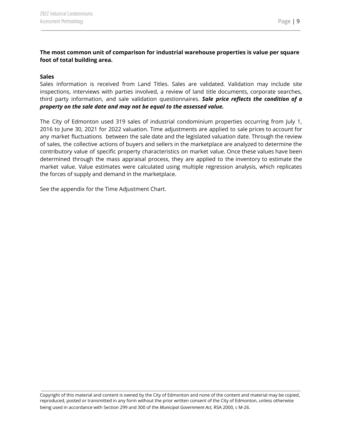#### **The most common unit of comparison for industrial warehouse properties is value per square foot of total building area.**

#### **Sales**

Sales information is received from Land Titles. Sales are validated. Validation may include site inspections, interviews with parties involved, a review of land title documents, corporate searches, third party information, and sale validation questionnaires. *Sale price reflects the condition of a property on the sale date and may not be equal to the assessed value.*

The City of Edmonton used 319 sales of industrial condominium properties occurring from July 1, 2016 to June 30, 2021 for 2022 valuation. Time adjustments are applied to sale prices to account for any market fluctuations between the sale date and the legislated valuation date. Through the review of sales, the collective actions of buyers and sellers in the marketplace are analyzed to determine the contributory value of specific property characteristics on market value. Once these values have been determined through the mass appraisal process, they are applied to the inventory to estimate the market value. Value estimates were calculated using multiple regression analysis, which replicates the forces of supply and demand in the marketplace.

See the appendix for the Time Adjustment Chart.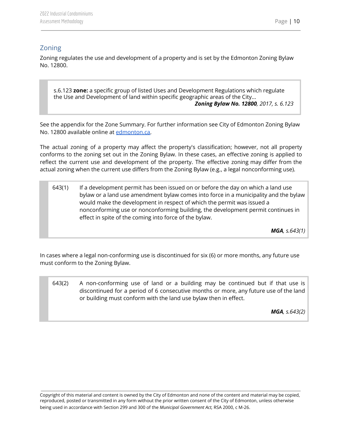#### <span id="page-10-0"></span>Zoning

Zoning regulates the use and development of a property and is set by the Edmonton Zoning Bylaw No. 12800.

s.6.123 **zone:** a specific group of listed Uses and Development Regulations which regulate the Use and Development of land within specific geographic areas of the City... *Zoning Bylaw No. 12800, 2017, s. 6.123*

See the appendix for the Zone Summary. For further information see City of Edmonton Zoning Bylaw No. 12800 available online at [edmonton.ca.](https://www.edmonton.ca/city_government/bylaws/zoning-bylaw.aspx)

The actual zoning of a property may affect the property's classification; however, not all property conforms to the zoning set out in the Zoning Bylaw. In these cases, an effective zoning is applied to reflect the current use and development of the property. The effective zoning may differ from the actual zoning when the current use differs from the Zoning Bylaw (e.g., a legal nonconforming use).

643(1) If a development permit has been issued on or before the day on which a land use bylaw or a land use amendment bylaw comes into force in a municipality and the bylaw would make the development in respect of which the permit was issued a nonconforming use or nonconforming building, the development permit continues in effect in spite of the coming into force of the bylaw.

*MGA, s.643(1)*

In cases where a legal non-conforming use is discontinued for six (6) or more months, any future use must conform to the Zoning Bylaw.

643(2) A non-conforming use of land or a building may be continued but if that use is discontinued for a period of 6 consecutive months or more, any future use of the land or building must conform with the land use bylaw then in effect.

*MGA, s.643(2)*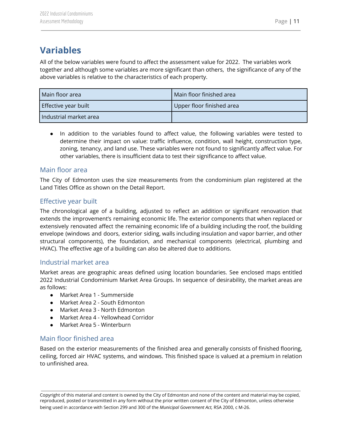## <span id="page-11-0"></span>**Variables**

All of the below variables were found to affect the assessment value for 2022. The variables work together and although some variables are more significant than others, the significance of any of the above variables is relative to the characteristics of each property.

| Main floor area        | Main floor finished area  |  |
|------------------------|---------------------------|--|
| Effective year built   | Upper floor finished area |  |
| Industrial market area |                           |  |

● In addition to the variables found to affect value, the following variables were tested to determine their impact on value: traffic influence, condition, wall height, construction type, zoning, tenancy, and land use. These variables were not found to significantly affect value. For other variables, there is insufficient data to test their significance to affect value.

#### <span id="page-11-1"></span>Main floor area

The City of Edmonton uses the size measurements from the condominium plan registered at the Land Titles Office as shown on the Detail Report.

## <span id="page-11-2"></span>Effective year built

The chronological age of a building, adjusted to reflect an addition or significant renovation that extends the improvement's remaining economic life. The exterior components that when replaced or extensively renovated affect the remaining economic life of a building including the roof, the building envelope (windows and doors, exterior siding, walls including insulation and vapor barrier, and other structural components), the foundation, and mechanical components (electrical, plumbing and HVAC). The effective age of a building can also be altered due to additions.

#### <span id="page-11-3"></span>Industrial market area

Market areas are geographic areas defined using location boundaries. See enclosed maps entitled 2022 Industrial Condominium Market Area Groups. In sequence of desirability, the market areas are as follows:

- Market Area 1 Summerside
- Market Area 2 South Edmonton
- Market Area 3 North Edmonton
- Market Area 4 Yellowhead Corridor
- Market Area 5 Winterburn

#### <span id="page-11-4"></span>Main floor finished area

Based on the exterior measurements of the finished area and generally consists of finished flooring, ceiling, forced air HVAC systems, and windows. This finished space is valued at a premium in relation to unfinished area.

Copyright of this material and content is owned by the City of Edmonton and none of the content and material may be copied, reproduced, posted or transmitted in any form without the prior written consent of the City of Edmonton, unless otherwise being used in accordance with Section 299 and 300 of the *Municipal Government Act,* RSA 2000, c M-26.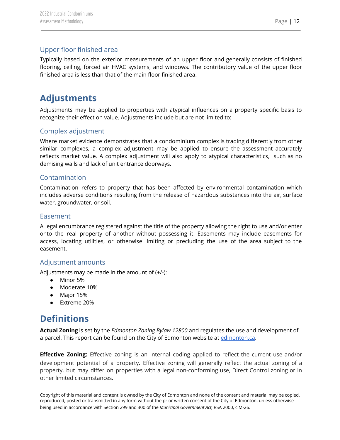## <span id="page-12-0"></span>Upper floor finished area

Typically based on the exterior measurements of an upper floor and generally consists of finished flooring, ceiling, forced air HVAC systems, and windows. The contributory value of the upper floor finished area is less than that of the main floor finished area.

## <span id="page-12-1"></span>**Adjustments**

Adjustments may be applied to properties with atypical influences on a property specific basis to recognize their effect on value. Adjustments include but are not limited to:

## <span id="page-12-2"></span>Complex adjustment

Where market evidence demonstrates that a condominium complex is trading differently from other similar complexes, a complex adjustment may be applied to ensure the assessment accurately reflects market value. A complex adjustment will also apply to atypical characteristics, such as no demising walls and lack of unit entrance doorways.

#### <span id="page-12-3"></span>Contamination

Contamination refers to property that has been affected by environmental contamination which includes adverse conditions resulting from the release of hazardous substances into the air, surface water, groundwater, or soil.

#### <span id="page-12-4"></span>Easement

A legal encumbrance registered against the title of the property allowing the right to use and/or enter onto the real property of another without possessing it. Easements may include easements for access, locating utilities, or otherwise limiting or precluding the use of the area subject to the easement.

#### <span id="page-12-5"></span>Adjustment amounts

Adjustments may be made in the amount of (+/-):

- Minor 5%
- Moderate 10%
- Major 15%
- Extreme 20%

## <span id="page-12-6"></span>**Definitions**

**Actual Zoning** is set by the *Edmonton Zoning Bylaw 12800* and regulates the use and development of a parcel. This report can be found on the City of Edmonton website at [edmonton.ca](https://www.edmonton.ca/city_government/bylaws/zoning-bylaw.aspx).

**Effective Zoning:** Effective zoning is an internal coding applied to reflect the current use and/or development potential of a property. Effective zoning will generally reflect the actual zoning of a property, but may differ on properties with a legal non-conforming use, Direct Control zoning or in other limited circumstances.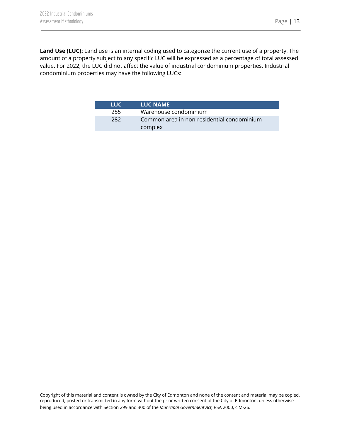**Land Use (LUC):** Land use is an internal coding used to categorize the current use of a property. The amount of a property subject to any specific LUC will be expressed as a percentage of total assessed value. For 2022, the LUC did not affect the value of industrial condominium properties. Industrial condominium properties may have the following LUCs:

| LUC. | <b>LUC NAME</b>                                       |
|------|-------------------------------------------------------|
| 255  | Warehouse condominium                                 |
| 282  | Common area in non-residential condominium<br>complex |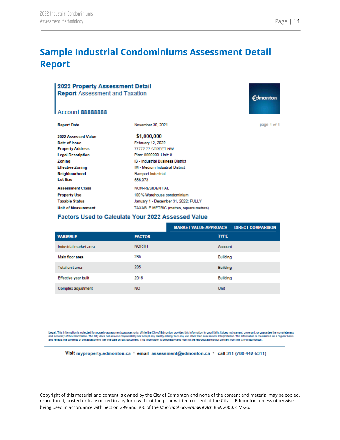# <span id="page-14-0"></span>**Sample Industrial Condominiums Assessment Detail Report**

| 2022 Property Assessment Detail<br><b>Report</b> Assessment and Taxation | <b>Edmonton</b>                          |             |  |
|--------------------------------------------------------------------------|------------------------------------------|-------------|--|
| <b>Account 88888888</b>                                                  |                                          |             |  |
| <b>Report Date</b>                                                       | November 30, 2021                        | page 1 of 1 |  |
| 2022 Assessed Value                                                      | \$1,000,000                              |             |  |
| Date of Issue                                                            | February 12, 2022                        |             |  |
| <b>Property Address</b>                                                  | 77777 77 STREET NW                       |             |  |
| <b>Legal Description</b>                                                 | Plan: 9999999 Unit: 9                    |             |  |
| Zoning                                                                   | <b>IB - Industrial Business District</b> |             |  |
| <b>Effective Zoning</b>                                                  | <b>IM - Medium Industrial District</b>   |             |  |
| Neighbourhood                                                            | Rampart Industrial                       |             |  |
| Lot Size                                                                 | 656.973                                  |             |  |
| <b>Assessment Class</b>                                                  | <b>NON-RESIDENTIAL</b>                   |             |  |
| <b>Property Use</b>                                                      | 100% Warehouse condominium               |             |  |
| <b>Taxable Status</b>                                                    | January 1 - December 31, 2022; FULLY     |             |  |
| <b>Unit of Measurement</b>                                               | TAXABLE METRIC (metres, square metres)   |             |  |
| <b>Factors Used to Calculate Your 2022 Assessed Value</b>                |                                          |             |  |
|                                                                          |                                          |             |  |

|                        |               | <b>MARKET VALUE APPROACH</b><br><b>DIRECT COMPARISON</b> |
|------------------------|---------------|----------------------------------------------------------|
| <b>VARIABLE</b>        | <b>FACTOR</b> | <b>TYPE</b>                                              |
| Industrial market area | <b>NORTH</b>  | Account                                                  |
| Main floor area        | 285           | <b>Building</b>                                          |
| Total unit area        | 285           | <b>Building</b>                                          |
| Effective year built   | 2015          | Building                                                 |
| Complex adjustment     | <b>NO</b>     | Unit                                                     |

Legal: This information is collected for property assessment purposes only. While the City of Edmonton provides this information in good faith, it does not warrant, covenant, or guarantee the completeness<br>and accuracy of t and reflects the contents of the assessment per the date on this document. This information is proprietary and may not be reproduced without consent from the City of Edmonton.

Visit myproperty.edmonton.ca • email assessment@edmonton.ca • call 311 (780-442-5311)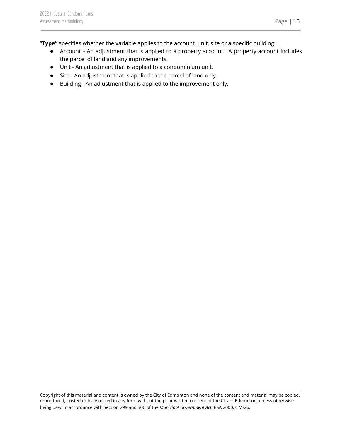- Account An adjustment that is applied to a property account. A property account includes the parcel of land and any improvements.
- Unit An adjustment that is applied to a condominium unit.
- Site An adjustment that is applied to the parcel of land only.
- Building An adjustment that is applied to the improvement only.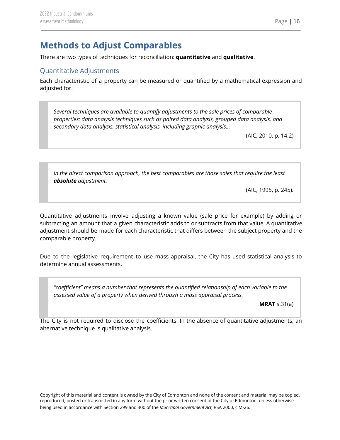## <span id="page-16-0"></span>**Methods to Adjust Comparables**

There are two types of techniques for reconciliation: **quantitative** and **qualitative**.

## <span id="page-16-1"></span>Quantitative Adjustments

Each characteristic of a property can be measured or quantified by a mathematical expression and adjusted for.

*Several techniques are available to quantify adjustments to the sale prices of comparable properties: data analysis techniques such as paired data analysis, grouped data analysis, and secondary data analysis, statistical analysis, including graphic analysis…*

(AIC, 2010, p. 14.2)

*In the direct comparison approach, the best comparables are those sales that require the least absolute adjustment.*

(AIC, 1995, p. 245).

Quantitative adjustments involve adjusting a known value (sale price for example) by adding or subtracting an amount that a given characteristic adds to or subtracts from that value. A quantitative adjustment should be made for each characteristic that differs between the subject property and the comparable property.

Due to the legislative requirement to use mass appraisal, the City has used statistical analysis to determine annual assessments.

*"coefficient" means a number that represents the quantified relationship of each variable to the assessed value of a property when derived through a mass appraisal process.*

**MRAT** s.31(a)

The City is not required to disclose the coefficients. In the absence of quantitative adjustments, an alternative technique is qualitative analysis.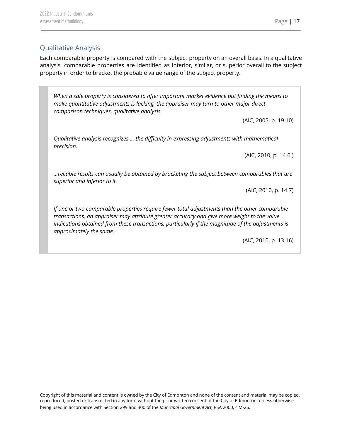## <span id="page-17-0"></span>Qualitative Analysis

Each comparable property is compared with the subject property on an overall basis. In a qualitative analysis, comparable properties are identified as inferior, similar, or superior overall to the subject property in order to bracket the probable value range of the subject property.

*When a sale property is considered to offer important market evidence but finding the means to make quantitative adjustments is lacking, the appraiser may turn to other major direct comparison techniques, qualitative analysis.*

(AIC, 2005, p. 19.10)

*Qualitative analysis recognizes … the difficulty in expressing adjustments with mathematical precision.*

(AIC, 2010, p. 14.6 )

*…reliable results can usually be obtained by bracketing the subject between comparables that are superior and inferior to it.*

(AIC, 2010, p. 14.7)

*If one or two comparable properties require fewer total adjustments than the other comparable transactions, an appraiser may attribute greater accuracy and give more weight to the value indications obtained from these transactions, particularly if the magnitude of the adjustments is approximately the same.*

(AIC, 2010, p. 13.16)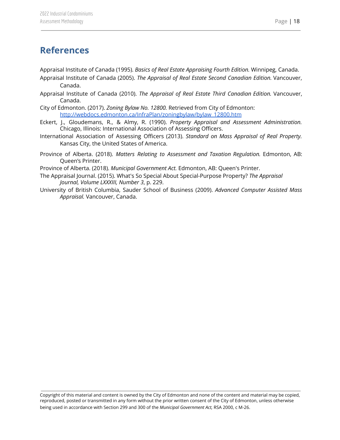## <span id="page-18-0"></span>**References**

Appraisal Institute of Canada (1995). *Basics of Real Estate Appraising Fourth Edition.* Winnipeg, Canada.

- Appraisal Institute of Canada (2005). *The Appraisal of Real Estate Second Canadian Edition.* Vancouver, Canada.
- Appraisal Institute of Canada (2010). *The Appraisal of Real Estate Third Canadian Edition.* Vancouver, Canada.
- City of Edmonton. (2017). *Zoning Bylaw No. 12800.* Retrieved from City of Edmonton: [http://webdocs.edmonton.ca/InfraPlan/zoningbylaw/bylaw\\_12800.htm](http://webdocs.edmonton.ca/InfraPlan/zoningbylaw/bylaw_12800.htm)
- Eckert, J., Gloudemans, R., & Almy, R. (1990). *Property Appraisal and Assessment Administration.* Chicago, Illinois: International Association of Assessing Officers.
- International Association of Assessing Officers (2013). *Standard on Mass Appraisal of Real Property.* Kansas City, the United States of America.
- Province of Alberta. (2018). *Matters Relating to Assessment and Taxation Regulation.* Edmonton, AB: Queen's Printer.

Province of Alberta. (2018). *Municipal Government Act.* Edmonton, AB: Queen's Printer.

- The Appraisal Journal. (2015). What's So Special About Special-Purpose Property? *The Appraisal Journal, Volume LXXXIII, Number 3*, p. 229.
- University of British Columbia, Sauder School of Business (2009). *Advanced Computer Assisted Mass Appraisal.* Vancouver, Canada.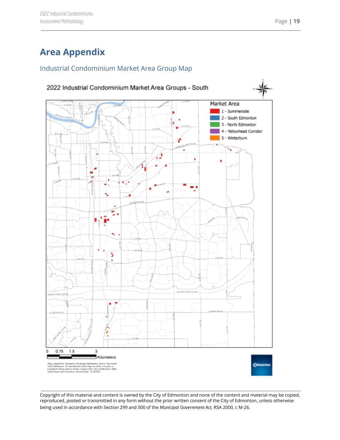# <span id="page-19-0"></span>**Area Appendix**

## <span id="page-19-1"></span>Industrial Condominium Market Area Group Map

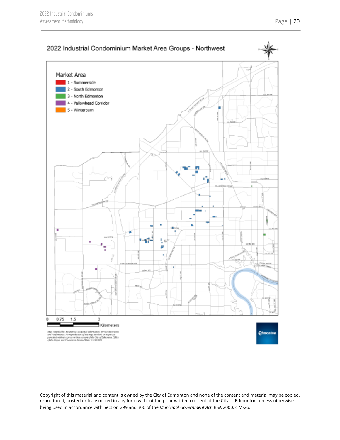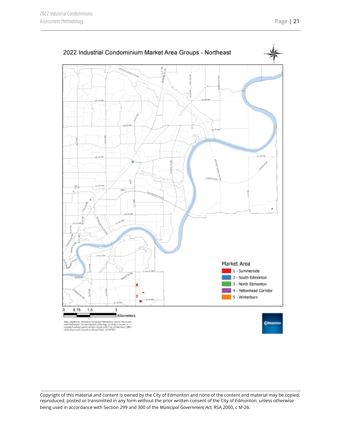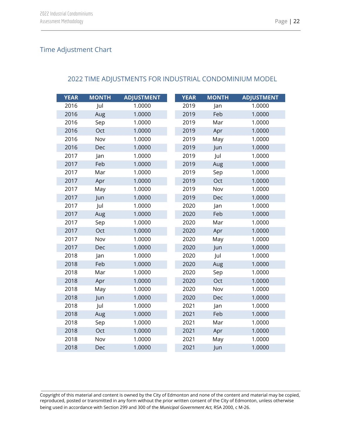## <span id="page-22-0"></span>Time Adjustment Chart

#### <span id="page-22-1"></span>2022 TIME ADJUSTMENTS FOR INDUSTRIAL CONDOMINIUM MODEL

| <b>YEAR</b> | <b>MONTH</b> | <b>ADJUSTMENT</b> | <b>YEAR</b> | <b>MONTH</b> | <b>ADJUSTMENT</b> |
|-------------|--------------|-------------------|-------------|--------------|-------------------|
| 2016        | Jul          | 1.0000            | 2019        | Jan          | 1.0000            |
| 2016        | Aug          | 1.0000            | 2019        | Feb          | 1.0000            |
| 2016        | Sep          | 1.0000            | 2019        | Mar          | 1.0000            |
| 2016        | Oct          | 1.0000            | 2019        | Apr          | 1.0000            |
| 2016        | Nov          | 1.0000            | 2019        | May          | 1.0000            |
| 2016        | Dec          | 1.0000            | 2019        | Jun          | 1.0000            |
| 2017        | Jan          | 1.0000            | 2019        | Jul          | 1.0000            |
| 2017        | Feb          | 1.0000            | 2019        | Aug          | 1.0000            |
| 2017        | Mar          | 1.0000            | 2019        | Sep          | 1.0000            |
| 2017        | Apr          | 1.0000            | 2019        | Oct          | 1.0000            |
| 2017        | May          | 1.0000            | 2019        | Nov          | 1.0000            |
| 2017        | Jun          | 1.0000            | 2019        | Dec          | 1.0000            |
| 2017        | Jul          | 1.0000            | 2020        | Jan          | 1.0000            |
| 2017        | Aug          | 1.0000            | 2020        | Feb          | 1.0000            |
| 2017        | Sep          | 1.0000            | 2020        | Mar          | 1.0000            |
| 2017        | Oct          | 1.0000            | 2020        | Apr          | 1.0000            |
| 2017        | Nov          | 1.0000            | 2020        | May          | 1.0000            |
| 2017        | Dec          | 1.0000            | 2020        | Jun          | 1.0000            |
| 2018        | Jan          | 1.0000            | 2020        | Jul          | 1.0000            |
| 2018        | Feb          | 1.0000            | 2020        | Aug          | 1.0000            |
| 2018        | Mar          | 1.0000            | 2020        | Sep          | 1.0000            |
| 2018        | Apr          | 1.0000            | 2020        | Oct          | 1.0000            |
| 2018        | May          | 1.0000            | 2020        | Nov          | 1.0000            |
| 2018        | Jun          | 1.0000            | 2020        | Dec          | 1.0000            |
| 2018        | Jul          | 1.0000            | 2021        | Jan          | 1.0000            |
| 2018        | Aug          | 1.0000            | 2021        | Feb          | 1.0000            |
| 2018        | Sep          | 1.0000            | 2021        | Mar          | 1.0000            |
| 2018        | Oct          | 1.0000            | 2021        | Apr          | 1.0000            |
| 2018        | Nov          | 1.0000            | 2021        | May          | 1.0000            |
| 2018        | Dec          | 1.0000            | 2021        | Jun          | 1.0000            |